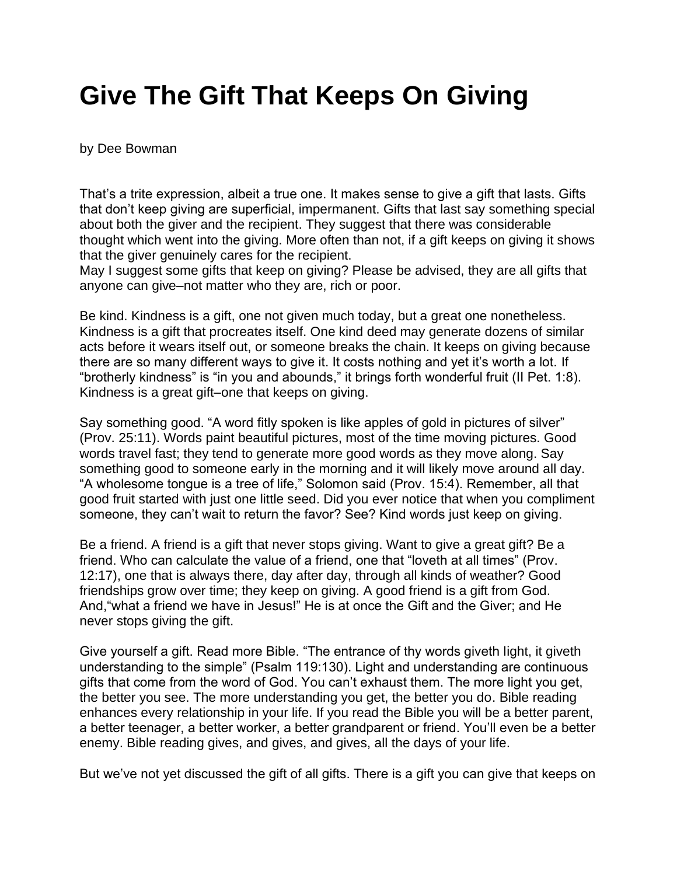## **Give The Gift That Keeps On Giving**

## by Dee Bowman

That's a trite expression, albeit a true one. It makes sense to give a gift that lasts. Gifts that don't keep giving are superficial, impermanent. Gifts that last say something special about both the giver and the recipient. They suggest that there was considerable thought which went into the giving. More often than not, if a gift keeps on giving it shows that the giver genuinely cares for the recipient.

May I suggest some gifts that keep on giving? Please be advised, they are all gifts that anyone can give–not matter who they are, rich or poor.

Be kind. Kindness is a gift, one not given much today, but a great one nonetheless. Kindness is a gift that procreates itself. One kind deed may generate dozens of similar acts before it wears itself out, or someone breaks the chain. It keeps on giving because there are so many different ways to give it. It costs nothing and yet it's worth a lot. If "brotherly kindness" is "in you and abounds," it brings forth wonderful fruit (II Pet. 1:8). Kindness is a great gift–one that keeps on giving.

Say something good. "A word fitly spoken is like apples of gold in pictures of silver" (Prov. 25:11). Words paint beautiful pictures, most of the time moving pictures. Good words travel fast; they tend to generate more good words as they move along. Say something good to someone early in the morning and it will likely move around all day. "A wholesome tongue is a tree of life," Solomon said (Prov. 15:4). Remember, all that good fruit started with just one little seed. Did you ever notice that when you compliment someone, they can't wait to return the favor? See? Kind words just keep on giving.

Be a friend. A friend is a gift that never stops giving. Want to give a great gift? Be a friend. Who can calculate the value of a friend, one that "loveth at all times" (Prov. 12:17), one that is always there, day after day, through all kinds of weather? Good friendships grow over time; they keep on giving. A good friend is a gift from God. And,"what a friend we have in Jesus!" He is at once the Gift and the Giver; and He never stops giving the gift.

Give yourself a gift. Read more Bible. "The entrance of thy words giveth light, it giveth understanding to the simple" (Psalm 119:130). Light and understanding are continuous gifts that come from the word of God. You can't exhaust them. The more light you get, the better you see. The more understanding you get, the better you do. Bible reading enhances every relationship in your life. If you read the Bible you will be a better parent, a better teenager, a better worker, a better grandparent or friend. You'll even be a better enemy. Bible reading gives, and gives, and gives, all the days of your life.

But we've not yet discussed the gift of all gifts. There is a gift you can give that keeps on